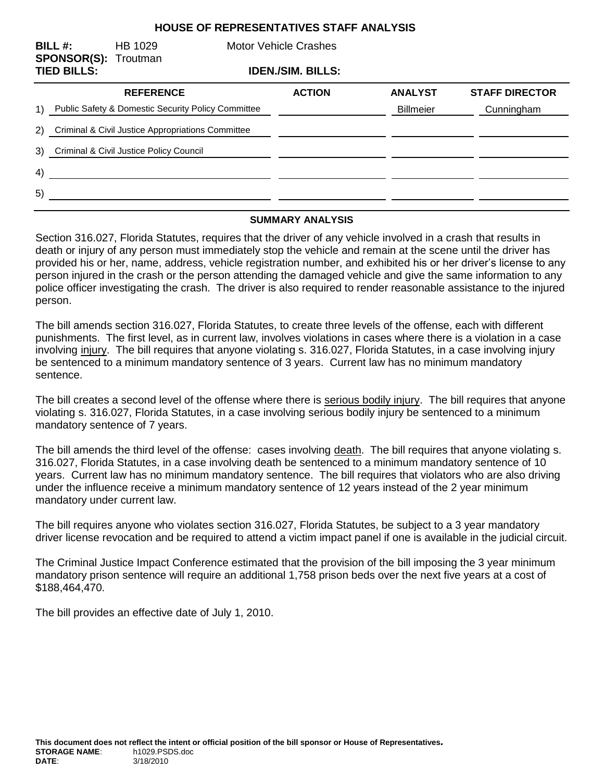## **HOUSE OF REPRESENTATIVES STAFF ANALYSIS**

| BILL $#$ :<br><b>SPONSOR(S): Troutman</b><br><b>TIED BILLS:</b> |                                                       | HB 1029                                 |  | <b>Motor Vehicle Crashes</b><br><b>IDEN./SIM. BILLS:</b> |                  |                       |  |
|-----------------------------------------------------------------|-------------------------------------------------------|-----------------------------------------|--|----------------------------------------------------------|------------------|-----------------------|--|
|                                                                 |                                                       | <b>REFERENCE</b>                        |  | <b>ACTION</b>                                            | <b>ANALYST</b>   | <b>STAFF DIRECTOR</b> |  |
|                                                                 | 1) Public Safety & Domestic Security Policy Committee |                                         |  |                                                          | <b>Billmeier</b> | Cunningham            |  |
|                                                                 | 2) Criminal & Civil Justice Appropriations Committee  |                                         |  |                                                          |                  |                       |  |
| 3)                                                              |                                                       | Criminal & Civil Justice Policy Council |  |                                                          |                  |                       |  |
| 4)                                                              |                                                       |                                         |  |                                                          |                  |                       |  |
| 5)                                                              |                                                       |                                         |  |                                                          |                  |                       |  |

#### **SUMMARY ANALYSIS**

Section 316.027, Florida Statutes, requires that the driver of any vehicle involved in a crash that results in death or injury of any person must immediately stop the vehicle and remain at the scene until the driver has provided his or her, name, address, vehicle registration number, and exhibited his or her driver's license to any person injured in the crash or the person attending the damaged vehicle and give the same information to any police officer investigating the crash. The driver is also required to render reasonable assistance to the injured person.

The bill amends section 316.027, Florida Statutes, to create three levels of the offense, each with different punishments. The first level, as in current law, involves violations in cases where there is a violation in a case involving injury. The bill requires that anyone violating s. 316.027, Florida Statutes, in a case involving injury be sentenced to a minimum mandatory sentence of 3 years. Current law has no minimum mandatory sentence.

The bill creates a second level of the offense where there is serious bodily injury. The bill requires that anyone violating s. 316.027, Florida Statutes, in a case involving serious bodily injury be sentenced to a minimum mandatory sentence of 7 years.

The bill amends the third level of the offense: cases involving death. The bill requires that anyone violating s. 316.027, Florida Statutes, in a case involving death be sentenced to a minimum mandatory sentence of 10 years. Current law has no minimum mandatory sentence. The bill requires that violators who are also driving under the influence receive a minimum mandatory sentence of 12 years instead of the 2 year minimum mandatory under current law.

The bill requires anyone who violates section 316.027, Florida Statutes, be subject to a 3 year mandatory driver license revocation and be required to attend a victim impact panel if one is available in the judicial circuit.

The Criminal Justice Impact Conference estimated that the provision of the bill imposing the 3 year minimum mandatory prison sentence will require an additional 1,758 prison beds over the next five years at a cost of \$188,464,470.

The bill provides an effective date of July 1, 2010.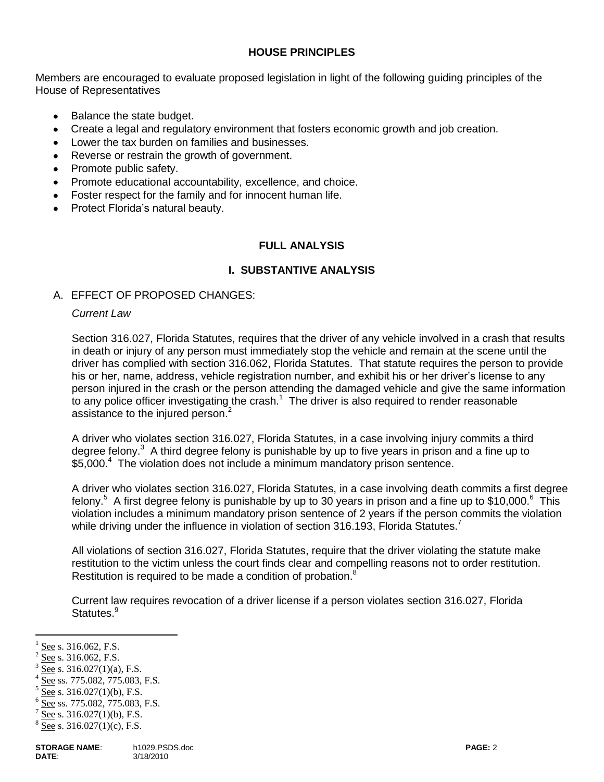## **HOUSE PRINCIPLES**

Members are encouraged to evaluate proposed legislation in light of the following guiding principles of the House of Representatives

- Balance the state budget.
- Create a legal and regulatory environment that fosters economic growth and job creation.
- Lower the tax burden on families and businesses.
- Reverse or restrain the growth of government.
- Promote public safety.
- Promote educational accountability, excellence, and choice.
- Foster respect for the family and for innocent human life.
- Protect Florida's natural beauty.

### **FULL ANALYSIS**

#### **I. SUBSTANTIVE ANALYSIS**

#### A. EFFECT OF PROPOSED CHANGES:

#### *Current Law*

Section 316.027, Florida Statutes, requires that the driver of any vehicle involved in a crash that results in death or injury of any person must immediately stop the vehicle and remain at the scene until the driver has complied with section 316.062, Florida Statutes. That statute requires the person to provide his or her, name, address, vehicle registration number, and exhibit his or her driver's license to any person injured in the crash or the person attending the damaged vehicle and give the same information to any police officer investigating the crash.<sup>1</sup> The driver is also required to render reasonable assistance to the injured person.<sup>2</sup>

A driver who violates section 316.027, Florida Statutes, in a case involving injury commits a third degree felony.<sup>3</sup> A third degree felony is punishable by up to five years in prison and a fine up to \$5,000.<sup>4</sup> The violation does not include a minimum mandatory prison sentence.

A driver who violates section 316.027, Florida Statutes, in a case involving death commits a first degree felony.<sup>5</sup> A first degree felony is punishable by up to 30 years in prison and a fine up to \$10,000.<sup>6</sup> This violation includes a minimum mandatory prison sentence of 2 years if the person commits the violation while driving under the influence in violation of section 316.193, Florida Statutes.<sup>7</sup>

All violations of section 316.027, Florida Statutes, require that the driver violating the statute make restitution to the victim unless the court finds clear and compelling reasons not to order restitution. Restitution is required to be made a condition of probation.<sup>8</sup>

Current law requires revocation of a driver license if a person violates section 316.027, Florida Statutes.<sup>9</sup>

 $\overline{a}$ 

- 4 See ss. 775.082, 775.083, F.S.
- 5 See s. 316.027(1)(b), F.S.
- 6 See ss. 775.082, 775.083, F.S.
- 7 See s. 316.027(1)(b), F.S.

<sup>1</sup> See s. 316.062, F.S.

<sup>2</sup> See s. 316.062, F.S.

<sup>3</sup> See s. 316.027(1)(a), F.S.

<sup>8</sup> See s. 316.027(1)(c), F.S.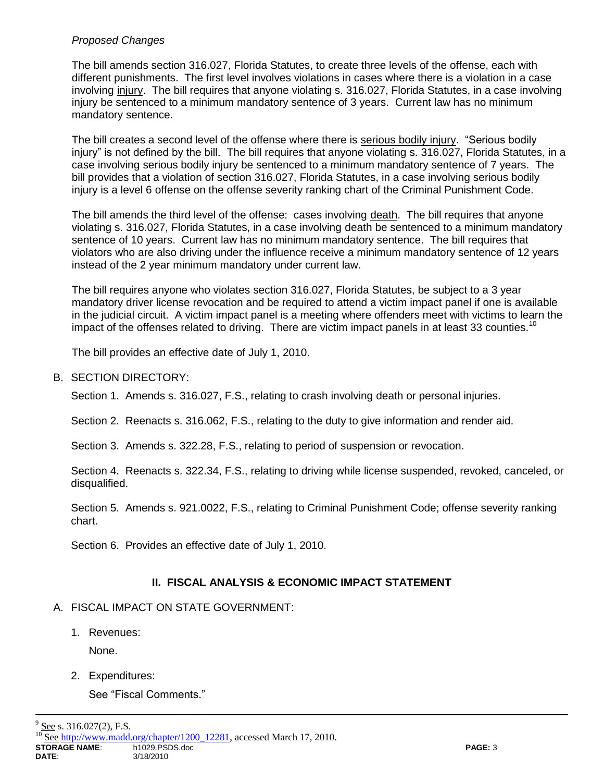## *Proposed Changes*

The bill amends section 316.027, Florida Statutes, to create three levels of the offense, each with different punishments. The first level involves violations in cases where there is a violation in a case involving injury. The bill requires that anyone violating s. 316.027, Florida Statutes, in a case involving injury be sentenced to a minimum mandatory sentence of 3 years. Current law has no minimum mandatory sentence.

The bill creates a second level of the offense where there is serious bodily injury. "Serious bodily injury" is not defined by the bill. The bill requires that anyone violating s. 316.027, Florida Statutes, in a case involving serious bodily injury be sentenced to a minimum mandatory sentence of 7 years. The bill provides that a violation of section 316.027, Florida Statutes, in a case involving serious bodily injury is a level 6 offense on the offense severity ranking chart of the Criminal Punishment Code.

The bill amends the third level of the offense: cases involving death. The bill requires that anyone violating s. 316.027, Florida Statutes, in a case involving death be sentenced to a minimum mandatory sentence of 10 years. Current law has no minimum mandatory sentence. The bill requires that violators who are also driving under the influence receive a minimum mandatory sentence of 12 years instead of the 2 year minimum mandatory under current law.

The bill requires anyone who violates section 316.027, Florida Statutes, be subject to a 3 year mandatory driver license revocation and be required to attend a victim impact panel if one is available in the judicial circuit. A victim impact panel is a meeting where offenders meet with victims to learn the impact of the offenses related to driving. There are victim impact panels in at least 33 counties.<sup>10</sup>

The bill provides an effective date of July 1, 2010.

B. SECTION DIRECTORY:

Section 1. Amends s. 316.027, F.S., relating to crash involving death or personal injuries.

Section 2. Reenacts s. 316.062, F.S., relating to the duty to give information and render aid.

Section 3. Amends s. 322.28, F.S., relating to period of suspension or revocation.

Section 4. Reenacts s. 322.34, F.S., relating to driving while license suspended, revoked, canceled, or disqualified.

Section 5. Amends s. 921.0022, F.S., relating to Criminal Punishment Code; offense severity ranking chart.

Section 6. Provides an effective date of July 1, 2010.

# **II. FISCAL ANALYSIS & ECONOMIC IMPACT STATEMENT**

- A. FISCAL IMPACT ON STATE GOVERNMENT:
	- 1. Revenues:

None.

 $\overline{a}$ 

2. Expenditures:

See "Fiscal Comments."

**STORAGE NAME:** h1029.PSDS.doc **PAGE: 3**<br> **PAGE:** 3/18/2010 **PAGE: 3 DATE**: 3/18/2010  $9\text{ See } s. 316.027(2), F.S.$  $^{10}$  See http://www.madd.org/chapter/1200 12281, accessed March 17, 2010.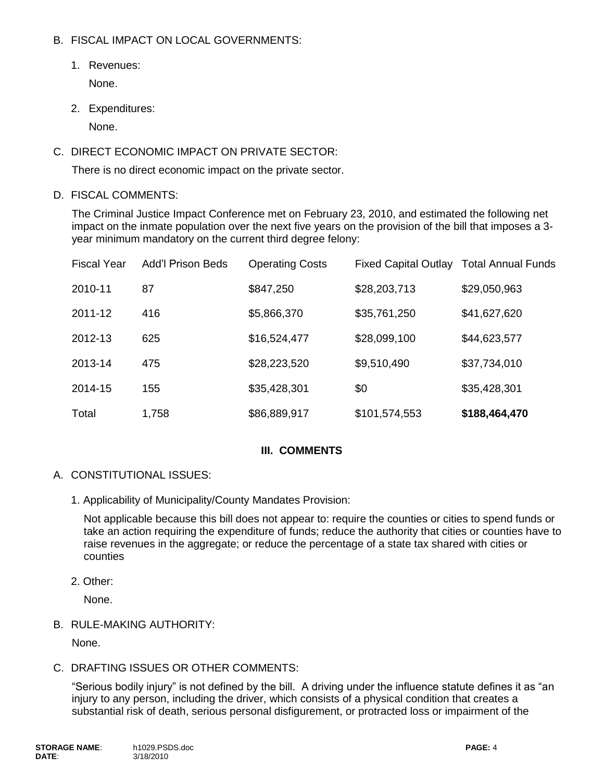### B. FISCAL IMPACT ON LOCAL GOVERNMENTS:

1. Revenues:

None.

2. Expenditures:

None.

C. DIRECT ECONOMIC IMPACT ON PRIVATE SECTOR:

There is no direct economic impact on the private sector.

D. FISCAL COMMENTS:

The Criminal Justice Impact Conference met on February 23, 2010, and estimated the following net impact on the inmate population over the next five years on the provision of the bill that imposes a 3 year minimum mandatory on the current third degree felony:

| <b>Fiscal Year</b> | Add'l Prison Beds | <b>Operating Costs</b> | <b>Fixed Capital Outlay</b> | <b>Total Annual Funds</b> |
|--------------------|-------------------|------------------------|-----------------------------|---------------------------|
| 2010-11            | 87                | \$847,250              | \$28,203,713                | \$29,050,963              |
| 2011-12            | 416               | \$5,866,370            | \$35,761,250                | \$41,627,620              |
| 2012-13            | 625               | \$16,524,477           | \$28,099,100                | \$44,623,577              |
| 2013-14            | 475               | \$28,223,520           | \$9,510,490                 | \$37,734,010              |
| 2014-15            | 155               | \$35,428,301           | \$0                         | \$35,428,301              |
| Total              | 1,758             | \$86,889,917           | \$101,574,553               | \$188,464,470             |

# **III. COMMENTS**

# A. CONSTITUTIONAL ISSUES:

1. Applicability of Municipality/County Mandates Provision:

Not applicable because this bill does not appear to: require the counties or cities to spend funds or take an action requiring the expenditure of funds; reduce the authority that cities or counties have to raise revenues in the aggregate; or reduce the percentage of a state tax shared with cities or counties

2. Other:

None.

B. RULE-MAKING AUTHORITY:

None.

# C. DRAFTING ISSUES OR OTHER COMMENTS:

"Serious bodily injury" is not defined by the bill. A driving under the influence statute defines it as "an injury to any person, including the driver, which consists of a physical condition that creates a substantial risk of death, serious personal disfigurement, or protracted loss or impairment of the